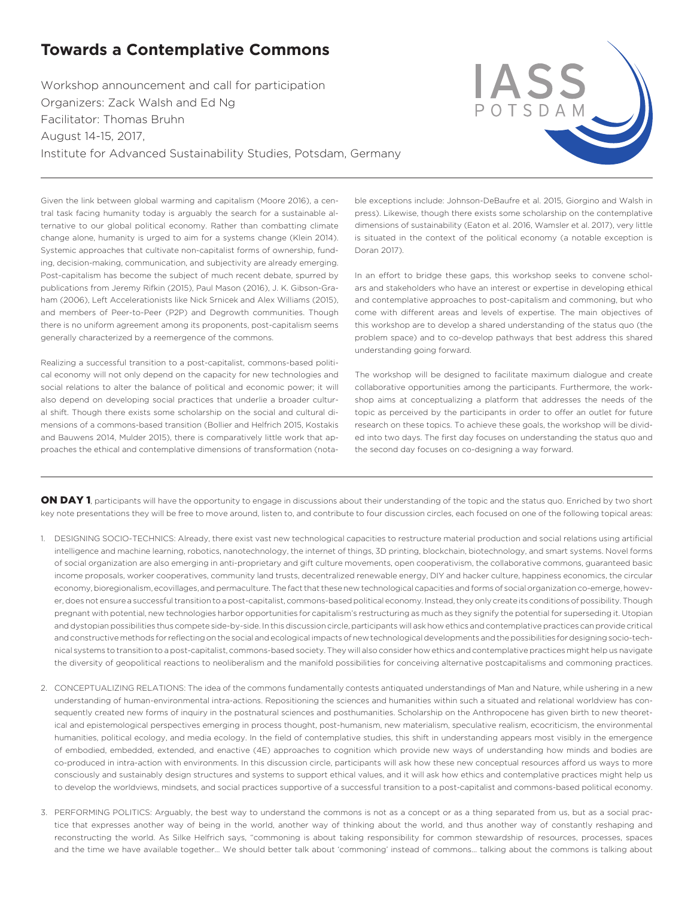## **Towards a Contemplative Commons**

Workshop announcement and call for participation Organizers: Zack Walsh and Ed Ng Facilitator: Thomas Bruhn August 14-15, 2017, Institute for Advanced Sustainability Studies, Potsdam, Germany



Given the link between global warming and capitalism (Moore 2016), a central task facing humanity today is arguably the search for a sustainable alternative to our global political economy. Rather than combatting climate change alone, humanity is urged to aim for a systems change (Klein 2014). Systemic approaches that cultivate non-capitalist forms of ownership, funding, decision-making, communication, and subjectivity are already emerging. Post-capitalism has become the subject of much recent debate, spurred by publications from Jeremy Rifkin (2015), Paul Mason (2016), J. K. Gibson-Graham (2006), Left Accelerationists like Nick Srnicek and Alex Williams (2015), and members of Peer-to-Peer (P2P) and Degrowth communities. Though there is no uniform agreement among its proponents, post-capitalism seems generally characterized by a reemergence of the commons.

Realizing a successful transition to a post-capitalist, commons-based political economy will not only depend on the capacity for new technologies and social relations to alter the balance of political and economic power; it will also depend on developing social practices that underlie a broader cultural shift. Though there exists some scholarship on the social and cultural dimensions of a commons-based transition (Bollier and Helfrich 2015, Kostakis and Bauwens 2014, Mulder 2015), there is comparatively little work that approaches the ethical and contemplative dimensions of transformation (notable exceptions include: Johnson-DeBaufre et al. 2015, Giorgino and Walsh in press). Likewise, though there exists some scholarship on the contemplative dimensions of sustainability (Eaton et al. 2016, Wamsler et al. 2017), very little is situated in the context of the political economy (a notable exception is Doran 2017).

In an effort to bridge these gaps, this workshop seeks to convene scholars and stakeholders who have an interest or expertise in developing ethical and contemplative approaches to post-capitalism and commoning, but who come with different areas and levels of expertise. The main objectives of this workshop are to develop a shared understanding of the status quo (the problem space) and to co-develop pathways that best address this shared understanding going forward.

The workshop will be designed to facilitate maximum dialogue and create collaborative opportunities among the participants. Furthermore, the workshop aims at conceptualizing a platform that addresses the needs of the topic as perceived by the participants in order to offer an outlet for future research on these topics. To achieve these goals, the workshop will be divided into two days. The first day focuses on understanding the status quo and the second day focuses on co-designing a way forward.

ON DAY 1, participants will have the opportunity to engage in discussions about their understanding of the topic and the status quo. Enriched by two short key note presentations they will be free to move around, listen to, and contribute to four discussion circles, each focused on one of the following topical areas:

- 1. DESIGNING SOCIO-TECHNICS: Already, there exist vast new technological capacities to restructure material production and social relations using artificial intelligence and machine learning, robotics, nanotechnology, the internet of things, 3D printing, blockchain, biotechnology, and smart systems. Novel forms of social organization are also emerging in anti-proprietary and gift culture movements, open cooperativism, the collaborative commons, guaranteed basic income proposals, worker cooperatives, community land trusts, decentralized renewable energy, DIY and hacker culture, happiness economics, the circular economy, bioregionalism, ecovillages, and permaculture. The fact that these new technological capacities and forms of social organization co-emerge, however, does not ensure a successful transition to a post-capitalist, commons-based political economy. Instead, they only create its conditions of possibility. Though pregnant with potential, new technologies harbor opportunities for capitalism's restructuring as much as they signify the potential for superseding it. Utopian and dystopian possibilities thus compete side-by-side. In this discussion circle, participants will ask how ethics and contemplative practices can provide critical and constructive methods for reflecting on the social and ecological impacts of new technological developments and the possibilities for designing socio-technical systems to transition to a post-capitalist, commons-based society. They will also consider how ethics and contemplative practices might help us navigate the diversity of geopolitical reactions to neoliberalism and the manifold possibilities for conceiving alternative postcapitalisms and commoning practices.
- 2. CONCEPTUALIZING RELATIONS: The idea of the commons fundamentally contests antiquated understandings of Man and Nature, while ushering in a new understanding of human-environmental intra-actions. Repositioning the sciences and humanities within such a situated and relational worldview has consequently created new forms of inquiry in the postnatural sciences and posthumanities. Scholarship on the Anthropocene has given birth to new theoretical and epistemological perspectives emerging in process thought, post-humanism, new materialism, speculative realism, ecocriticism, the environmental humanities, political ecology, and media ecology. In the field of contemplative studies, this shift in understanding appears most visibly in the emergence of embodied, embedded, extended, and enactive (4E) approaches to cognition which provide new ways of understanding how minds and bodies are co-produced in intra-action with environments. In this discussion circle, participants will ask how these new conceptual resources afford us ways to more consciously and sustainably design structures and systems to support ethical values, and it will ask how ethics and contemplative practices might help us to develop the worldviews, mindsets, and social practices supportive of a successful transition to a post-capitalist and commons-based political economy.
- 3. PERFORMING POLITICS: Arguably, the best way to understand the commons is not as a concept or as a thing separated from us, but as a social practice that expresses another way of being in the world, another way of thinking about the world, and thus another way of constantly reshaping and reconstructing the world. As Silke Helfrich says, "commoning is about taking responsibility for common stewardship of resources, processes, spaces and the time we have available together… We should better talk about 'commoning' instead of commons... talking about the commons is talking about